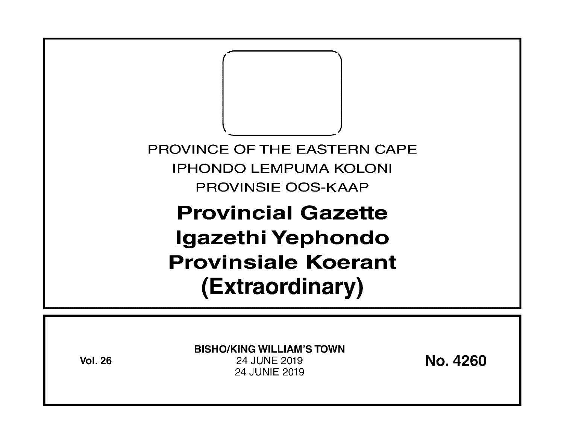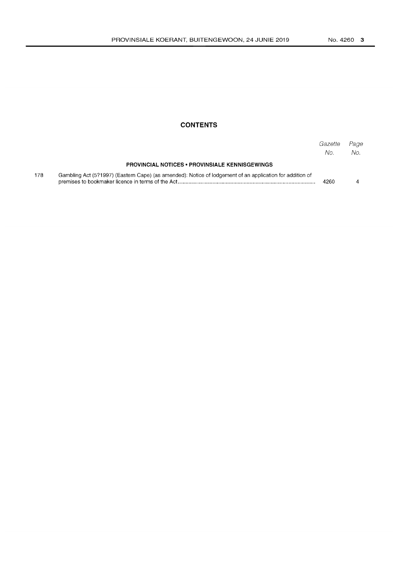## **CONTENTS**

|     |                                                                                                          | Gazette<br>No. | Page<br>No. |
|-----|----------------------------------------------------------------------------------------------------------|----------------|-------------|
|     | <b>PROVINCIAL NOTICES • PROVINSIALE KENNISGEWINGS</b>                                                    |                |             |
| 178 | Gambling Act (5?1997) (Eastern Cape) (as amended): Notice of lodgement of an application for addition of | 4260           |             |